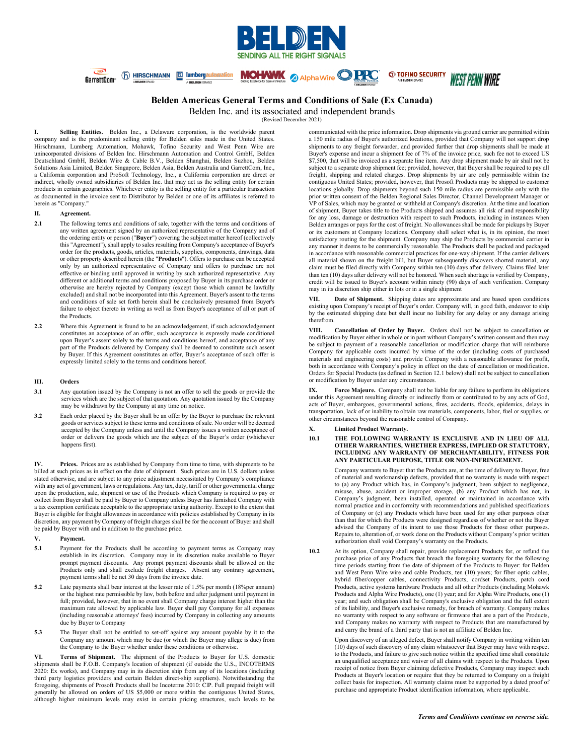

# **Belden Americas General Terms and Conditions of Sale (Ex Canada)**

**MOHAWK AlphaWire PPC** 

Belden Inc. and its associated and independent brands

(Revised December 2021)

**I. Selling Entities.** Belden Inc., a Delaware corporation, is the worldwide parent company and is the predominant selling entity for Belden sales made in the United States. Hirschmann, Lumberg Automation, Mohawk, Tofino Security and West Penn Wire are unincorporated divisions of Belden Inc. Hirschmann Automation and Control GmbH, Belden Deutschland GmbH, Belden Wire & Cable B.V., Belden Shanghai, Belden Suzhou, Belden Solutions Asia Limited, Belden Singapore, Belden Asia, Belden Australia and GarrettCom, Inc., a California corporation and ProSoft Technology, Inc., a California corporation are direct or indirect, wholly owned subsidiaries of Belden Inc. that may act as the selling entity for certain products in certain geographies. Whichever entity is the selling entity for a particular transaction as documented in the invoice sent to Distributor by Belden or one of its affiliates is referred to herein as "Company."

(f) HIRSCHMANN [d] lumbergautomation

### **II. Agreement.**

 $\overline{C^{33}}$ 

GarrettCom<sup>®</sup>

- **2.1** The following terms and conditions of sale, together with the terms and conditions of any written agreement signed by an authorized representative of the Company and of the ordering entity or person ("**Buyer**") covering the subject matter hereof (collectively this "Agreement"), shall apply to sales resulting from Company's acceptance of Buyer's order for the products, goods, articles, materials, supplies, components, drawings, data or other property described herein (the "**Products**"). Offers to purchase can be accepted only by an authorized representative of Company and offers to purchase are not effective or binding until approved in writing by such authorized representative. Any different or additional terms and conditions proposed by Buyer in its purchase order or otherwise are hereby rejected by Company (except those which cannot be lawfully excluded) and shall not be incorporated into this Agreement. Buyer's assent to the terms and conditions of sale set forth herein shall be conclusively presumed from Buyer's failure to object thereto in writing as well as from Buyer's acceptance of all or part of the Products.
- **2.2** Where this Agreement is found to be an acknowledgement, if such acknowledgement constitutes an acceptance of an offer, such acceptance is expressly made conditional upon Buyer's assent solely to the terms and conditions hereof, and acceptance of any part of the Products delivered by Company shall be deemed to constitute such assent by Buyer. If this Agreement constitutes an offer, Buyer's acceptance of such offer is expressly limited solely to the terms and conditions hereof.

### **III. Orders**

- **3.1** Any quotation issued by the Company is not an offer to sell the goods or provide the services which are the subject of that quotation. Any quotation issued by the Company may be withdrawn by the Company at any time on notice.
- **3.2** Each order placed by the Buyer shall be an offer by the Buyer to purchase the relevant goods or services subject to these terms and conditions of sale. No order will be deemed accepted by the Company unless and until the Company issues a written acceptance of order or delivers the goods which are the subject of the Buyer's order (whichever happens first).

**IV. Prices.** Prices are as established by Company from time to time, with shipments to be billed at such prices as in effect on the date of shipment. Such prices are in U.S. dollars unless stated otherwise, and are subject to any price adjustment necessitated by Company's compliance with any act of government, laws or regulations. Any tax, duty, tariff or other governmental charge upon the production, sale, shipment or use of the Products which Company is required to pay or collect from Buyer shall be paid by Buyer to Company unless Buyer has furnished Company with a tax exemption certificate acceptable to the appropriate taxing authority. Except to the extent that Buyer is eligible for freight allowances in accordance with policies established by Company in its discretion, any payment by Company of freight charges shall be for the account of Buyer and shall be paid by Buyer with and in addition to the purchase price.

- **V. Payment.**
- **5.1** Payment for the Products shall be according to payment terms as Company may establish in its discretion. Company may in its discretion make available to Buyer prompt payment discounts. Any prompt payment discounts shall be allowed on the Products only and shall exclude freight charges. Absent any contrary agreement, payment terms shall be net 30 days from the invoice date.
- **5.2** Late payments shall bear interest at the lesser rate of 1.5% per month (18%per annum) or the highest rate permissible by law, both before and after judgment until payment in full; provided, however, that in no event shall Company charge interest higher than the maximum rate allowed by applicable law. Buyer shall pay Company for all expenses (including reasonable attorneys' fees) incurred by Company in collecting any amounts due by Buyer to Company
- **5.3** The Buyer shall not be entitled to set-off against any amount payable by it to the Company any amount which may be due (or which the Buyer may allege is due) from the Company to the Buyer whether under these conditions or otherwise.

**VI. Terms of Shipment.** The shipment of the Products to Buyer for U.S. domestic shipments shall be F.O.B. Company's location of shipment (if outside the U.S., INCOTERMS 2020: Ex works), and Company may in its discretion ship from any of its locations (including<br>third party logistics providers and certain Belden direct-ship suppliers). Notwithstanding the<br>foregoing, shipments of Prosoft Pr generally be allowed on orders of US \$5,000 or more within the contiguous United States, although higher minimum levels may exist in certain pricing structures, such levels to be

communicated with the price information. Drop shipments via ground carrier are permitted within a 150 mile radius of Buyer's authorized locations, provided that Company will not support drop shipments to any freight forwarder, and provided further that drop shipments shall be made at Buyer's expense and incur a shipment fee of 7% of the invoice price, such fee not to exceed US \$7,500, that will be invoiced as a separate line item. Any drop shipment made by air shall not be subject to a separate drop shipment fee; provided, however, that Buyer shall be required to pay all freight, shipping and related charges. Drop shipments by air are only permissible within the contiguous United States; provided, however, that Prosoft Products may be shipped to customer locations globally. Drop shipments beyond such 150 mile radius are permissible only with the prior written consent of the Belden Regional Sales Director, Channel Development Manager or VP of Sales, which may be granted or withheld at Company's discretion. At the time and location of shipment, Buyer takes title to the Products shipped and assumes all risk of and responsibility for any loss, damage or destruction with respect to such Products, including in instances when Belden arranges or pays for the cost of freight. No allowances shall be made for pickups by Buyer or its customers at Company locations. Company shall select what is, in its opinion, the most satisfactory routing for the shipment. Company may ship the Products by commercial carrier in any manner it deems to be commercially reasonable. The Products shall be packed and packaged in accordance with reasonable commercial practices for one-way shipment. If the carrier delivers all material shown on the freight bill, but Buyer subsequently discovers shorted material, any claim must be filed directly with Company within ten (10) days after delivery. Claims filed later than ten (10) days after delivery will not be honored. When such shortage is verified by Company, credit will be issued to Buyer's account within ninety (90) days of such verification. Company may in its discretion ship either in lots or in a single shipment

*C* TOFINO SECURITY

**WEST PENN WIRE** 

**VII. Date of Shipment.** Shipping dates are approximate and are based upon conditions existing upon Company's receipt of Buyer's order. Company will, in good faith, endeavor to ship by the estimated shipping date but shall incur no liability for any delay or any damage arising therefrom.

**VIII. Cancellation of Order by Buyer.** Orders shall not be subject to cancellation or modification by Buyer either in whole or in part without Company's written consent and then may be subject to payment of a reasonable cancellation or modification charge that will reimburse Company for applicable costs incurred by virtue of the order (including costs of purchased materials and engineering costs) and provide Company with a reasonable allowance for profit, both in accordance with Company's policy in effect on the date of cancellation or modification. Orders for Special Products (as defined in Section 12.1 below) shall not be subject to cancellation or modification by Buyer under any circumstances.

**IX. Force Majeure.** Company shall not be liable for any failure to perform its obligations under this Agreement resulting directly or indirectly from or contributed to by any acts of God, acts of Buyer, embargoes, governmental actions, fires, accidents, floods, epidemics, delays in transportation, lack of or inability to obtain raw materials, components, labor, fuel or supplies, or other circumstances beyond the reasonable control of Company.

### **X. Limited Product Warranty.**

**10.1 THE FOLLOWING WARRANTY IS EXCLUSIVE AND IN LIEU OF ALL OTHER WARRANTIES, WHETHER EXPRESS, IMPLIED OR STATUTORY, INCLUDING ANY WARRANTY OF MERCHANTABILITY, FITNESS FOR ANY PARTICULAR PURPOSE, TITLE OR NON-INFRINGEMENT.**

> Company warrants to Buyer that the Products are, at the time of delivery to Buyer, free of material and workmanship defects, provided that no warranty is made with respect to (a) any Product which has, in Company's judgment, been subject to negligence, misuse, abuse, accident or improper storage, (b) any Product which has not, in Company's judgment, been installed, operated or maintained in accordance with normal practice and in conformity with recommendations and published specifications of Company or (c) any Products which have been used for any other purposes other than that for which the Products were designed regardless of whether or not the Buyer advised the Company of its intent to use those Products for those other purposes. Repairs to, alteration of, or work done on the Products without Company's prior written authorization shall void Company's warranty on the Products.

**10.2** At its option, Company shall repair, provide replacement Products for, or refund the purchase price of any Products that breach the foregoing warranty for the following time periods starting from the date of shipment of the Products to Buyer: for Belden and West Penn Wire wire and cable Products, ten (10) years; for fiber optic cables, hybrid fiber/copper cables, connectivity Products, cordset Products, patch cord Products, active systems hardware Products and all other Products (including Mohawk Products and Alpha Wire Products), one (1) year; and for Alpha Wire Products, one (1) year; and such obligation shall be Company's exclusive obligation and the full extent of its liability, and Buyer's exclusive remedy, for breach of warranty. Company makes no warranty with respect to any software or firmware that are a part of the Products, and Company makes no warranty with respect to Products that are manufactured by and carry the brand of a third party that is not an affiliate of Belden Inc.

> Upon discovery of an alleged defect, Buyer shall notify Company in writing within ten (10) days of such discovery of any claim whatsoever that Buyer may have with respect to the Products, and failure to give such notice within the specified time shall constitute an unqualified acceptance and waiver of all claims with respect to the Products. Upon receipt of notice from Buyer claiming defective Products, Company may inspect such Products at Buyer's location or require that they be returned to Company on a freight collect basis for inspection. All warranty claims must be supported by a dated proof of purchase and appropriate Product identification information, where applicable.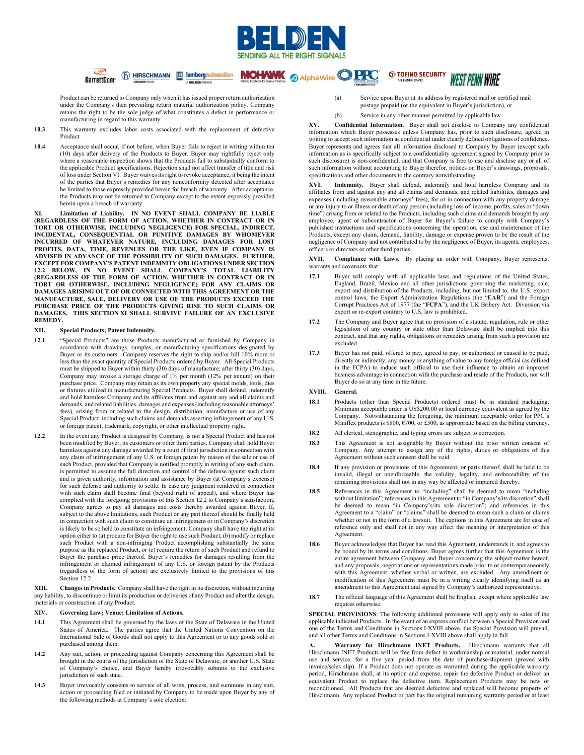

**MOHAWK** 2 Alpha Wire OPPC

Product can be returned to Company only when it has issued proper return authorization under the Company's then prevailing return material authorization policy. Company retains the right to be the sole judge of what constitutes a defect in performance or manufacturing in regard to this warranty.

6 HIRSCHMANN E lumbergautomation

A BELDEN F

- **10.3** This warranty excludes labor costs associated with the replacement of defective Product.
- **10.4** Acceptance shall occur, if not before, when Buyer fails to reject in writing within ten (10) days after delivery of the Products to Buyer. Buyer may rightfully reject only where a reasonable inspection shows that the Products fail to substantially conform to the applicable Product specifications. Rejection shall not affect transfer of title and risk of loss under Section VI. Buyer waives its right to revoke acceptance, it being the intent of the parties that Buyer's remedies for any nonconformity detected after acceptance be limited to those expressly provided herein for breach of warranty. After acceptance, the Products may not be returned to Company except to the extent expressly provided herein upon a breach of warranty.

**XI. Limitation of Liability. IN NO EVENT SHALL COMPANY BE LIABLE (REGARDLESS OF THE FORM OF ACTION, WHETHER IN CONTRACT OR IN TORT OR OTHERWISE, INCLUDING NEGLIGENCE) FOR SPECIAL, INDIRECT, INCIDENTAL, CONSEQUENTIAL OR PUNITIVE DAMAGES BY WHOMEVER INCURRED OF WHATEVER NATURE, INCLUDING DAMAGES FOR LOST PROFITS, DATA, TIME, REVENUES OR THE LIKE, EVEN IF COMPANY IS ADVISED IN ADVANCE OF THE POSSIBILITY OF SUCH DAMAGES. FURTHER, EXCEPT FOR COMPANY'S PATENT INDEMNITY OBLIGATIONS UNDER SECTION 12.2 BELOW, IN NO EVENT SHALL COMPANY'S TOTAL LIABILITY (REGARDLESS OF THE FORM OF ACTION, WHETHER IN CONTRACT OR IN TORT OR OTHERWISE, INCLUDING NEGLIGENCE) FOR ANY CLAIMS OR DAMAGES ARISING OUT OF OR CONNECTED WITH THIS AGREEMENT OR THE MANUFACTURE, SALE, DELIVERY OR USE OF THE PRODUCTS EXCEED THE PURCHASE PRICE OF THE PRODUCTS GIVING RISE TO SUCH CLAIMS OR DAMAGES. THIS SECTION XI SHALL SURVIVE FAILURE OF AN EXCLUSIVE REMEDY.**

# **XII. Special Products; Patent Indemnity.**

 $\overline{CD}$ 

GarrettCom<sup>®</sup>

- **12.1** "Special Products" are those Products manufactured or furnished by Company in accordance with drawings, samples, or manufacturing specifications designated by Buyer or its customers. Company reserves the right to ship and/or bill 10% more or less than the exact quantity of Special Products ordered by Buyer. All Special Products must be shipped to Buyer within thirty (30) days of manufacture; after thirty (30) days, Company may invoke a storage charge of 1% per month (12% per annum) on their purchase price. Company may retain as its own property any special molds, tools, dies or fixtures utilized in manufacturing Special Products. Buyer shall defend, indemnify and hold harmless Company and its affiliates from and against any and all claims and demands, and related liabilities, damages and expenses (including reasonable attorneys' fees), arising from or related to the design, distribution, manufacture or use of any Special Product, including such claims and demands asserting infringement of any U.S. or foreign patent, trademark, copyright, or other intellectual property right.
- **12.2** In the event any Product is designed by Company, is not a Special Product and has not been modified by Buyer, its customers or other third parties, Company shall hold Buyer harmless against any damage awarded by a court of final jurisdiction in connection with any claim of infringement of any U.S. or foreign patent by reason of the sale or use of such Product, provided that Company is notified promptly in writing of any such claim, is permitted to assume the full direction and control of the defense against such claim and is given authority, information and assistance by Buyer (at Company's expense) for such defense and authority to settle. In case any judgment rendered in connection with such claim shall become final (beyond right of appeal), and where Buyer has complied with the foregoing provisions of this Section 12.2 to Company's satisfaction, Company agrees to pay all damages and costs thereby awarded against Buyer. If, subject to the above limitations, such Product or any part thereof should be finally held in connection with such claim to constitute an infringement or in Company's discretion is likely to be so held to constitute an infringement, Company shall have the right at its option either to (a) procure for Buyer the right to use such Product, (b) modify or replace such Product with a non-infringing Product accomplishing substantially the same purpose as the replaced Product, or (c) require the return of such Product and refund to Buyer the purchase price thereof. Buyer's remedies for damages resulting from the infringement or claimed infringement of any U.S. or foreign patent by the Products (regardless of the form of action) are exclusively limited to the provisions of this Section 12.2.

**XIII. Changes in Products.** Company shall have the right in its discretion, without incurring any liability, to discontinue or limit its production or deliveries of any Product and alter the design, materials or construction of any Product.

### **XIV. Governing Law; Venue; Limitation of Actions.**

- **14.1** This Agreement shall be governed by the laws of the State of Delaware in the United States of America. The parties agree that the United Nations Convention on the International Sale of Goods shall not apply to this Agreement or to any goods sold or purchased among them.
- **14.2** Any suit, action, or proceeding against Company concerning this Agreement shall be brought in the courts of the jurisdiction of the State of Delaware, or another U.S. State of Company's choice, and Buyer hereby irrevocably submits to the exclusive jurisdiction of such state.
- **14.3** Buyer irrevocably consents to service of all writs, process, and summons in any suit, action or proceeding filed or initiated by Company to be made upon Buyer by any of the following methods at Company's sole election:

(a) Service upon Buyer at its address by registered mail or certified mail postage prepaid (or the equivalent in Buyer's jurisdiction), or

**WEST PENN WIRE** 

(b) Service in any other manner permitted by applicable law.

*C* TOFINO SECURITY

**XV. Confidential Information.** Buyer shall not disclose to Company any confidential information which Buyer possesses unless Company has, prior to such disclosure, agreed in writing to accept such information as confidential under clearly defined obligations of confidence. Buyer represents and agrees that all information disclosed to Company by Buyer (except such information as is specifically subject to a confidentiality agreement signed by Company prior to such disclosure) is non-confidential, and that Company is free to use and disclose any or all of such information without accounting to Buyer therefor, notices on Buyer's drawings, proposals, specifications and other documents to the contrary notwithstanding.

**XVI. Indemnity.** Buyer shall defend, indemnify and hold harmless Company and its affiliates from and against any and all claims and demands, and related liabilities, damages and expenses (including reasonable attorneys' fees), for or in connection with any property damage or any injury to or illness or death of any person (including loss of income, profits, sales or "down time") arising from or related to the Products, including such claims and demands brought by any employee, agent or subcontractor of Buyer for Buyer's failure to comply with Company's published instructions and specifications concerning the operation, use and maintenance of the Products, except any claim, demand, liability, damage or expense proven to be the result of the negligence of Company and not contributed to by the negligence of Buyer, its agents, employees, officers or directors or other third parties.

**XVII. Compliance with Laws.** By placing an order with Company, Buyer represents, warrants and covenants that:

- **17.1** Buyer will comply with all applicable laws and regulations of the United States, England, Brazil, Mexico and all other jurisdictions governing the marketing, sale, export and distribution of the Products, including, but not limited to, the U.S. export control laws, the Export Administration Regulations (the "**EAR**") and the Foreign Corrupt Practices Act of 1977 (the "**FCPA**"), and the UK Bribery Act. Diversion via export or re-export contrary to U.S. law is prohibited.
- **17.2** The Company and Buyer agree that no provision of a statute, regulation, rule or other legislation of any country or state other than Delaware shall be implied into this contract, and that any rights, obligations or remedies arising from such a provision are excluded.
- **17.3** Buyer has not paid, offered to pay, agreed to pay, or authorized or caused to be paid, directly or indirectly, any money or anything of value to any foreign official (as defined in the FCPA) to induce such official to use their influence to obtain an improper business advantage in connection with the purchase and resale of the Products, nor will Buyer do so at any time in the future.

## **XVIII. General.**

- **18.1** Products (other than Special Products) ordered must be in standard packaging. Minimum acceptable order is US\$200.00 or local currency equivalent as agreed by the Company. Notwithstanding the foregoing, the minimum acceptable order for PPC's Miniflex products is \$800,  $\widetilde{E}$ 700, or £500, as appropriate based on the billing currency.
- **18.2** All clerical, stenographic, and typing errors are subject to correction.
- **18.3** This Agreement is not assignable by Buyer without the prior written consent of Company. Any attempt to assign any of the rights, duties or obligations of this Agreement without such consent shall be void.
- **18.4** If any provision or provisions of this Agreement, or parts thereof, shall be held to be invalid, illegal or unenforceable, the validity, legality, and enforceability of the remaining provisions shall not in any way be affected or impaired thereby.
- **18.5** References in this Agreement to "including" shall be deemed to mean "including without limitation"; references in this Agreement to "in Company's/its discretion" shall be deemed to mean "in Company's/its sole discretion"; and references in this Agreement to a "claim" or "claims" shall be deemed to mean such a claim or claims whether or not in the form of a lawsuit. The captions in this Agreement are for ease of reference only and shall not in any way affect the meaning or interpretation of this Agreement.
- **18.6** Buyer acknowledges that Buyer has read this Agreement, understands it, and agrees to be bound by its terms and conditions. Buyer agrees further that this Agreement is the entire agreement between Company and Buyer concerning the subject matter hereof, and any proposals, negotiations or representations made prior to or contemporaneously with this Agreement, whether verbal or written, are excluded. Any amendment or modification of this Agreement must be in a writing clearly identifying itself as an amendment to this Agreement and signed by Company's authorized representative.
- **18.7** The official language of this Agreement shall be English, except where applicable law requires otherwise.

**SPECIAL PROVISIONS**: The following additional provisions will apply only to sales of the applicable indicated Products. In the event of an express conflict between a Special Provision and one of the Terms and Conditions in Sections I-XVIII above, the Special Provision will prevail, and all other Terms and Conditions in Sections I-XVIII above shall apply in full.

**A. Warranty for Hirschmann INET Products.** Hirschmann warrants that all Hirschmann INET Products will be free from defect in workmanship or material, under normal use and service, for a five year period from the date of purchase/shipment (proved with invoice/sales slip). If a Product does not operate as warranted during the applicable warranty period, Hirschmann shall, at its option and expense, repair the defective Product or deliver an equivalent Product to replace the defective item. Replacement Products may be new or reconditioned. All Products that are deemed defective and replaced will become property of Hirschmann. Any replaced Product or part has the original remaining warranty period or at least